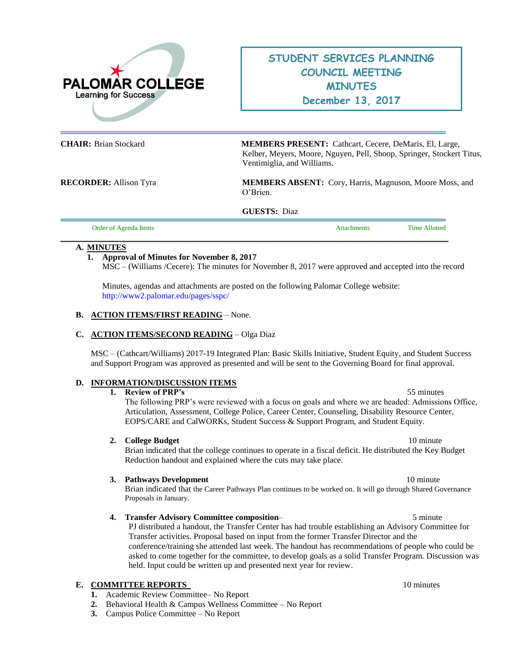

# **STUDENT SERVICES PLANNING COUNCIL MEETING MINUTES December 13, 2017**

**CHAIR:** Brian Stockard **MEMBERS PRESENT:** Cathcart, Cecere, DeMaris, El, Large, Kelber, Meyers, Moore, Nguyen, Pell, Shoop, Springer, Stockert Titus, Ventimiglia, and Williams.

**RECORDER:** Allison Tyra **MEMBERS ABSENT:** Cory, Harris, Magnuson, Moore Moss, and O'Brien.

**GUESTS:** Diaz

| Order of Agenda Items | tachments | <b>Time Allotted</b> |
|-----------------------|-----------|----------------------|
|                       |           |                      |

#### **A. MINUTES**

 $=$ 

### **1. Approval of Minutes for November 8, 2017**

MSC – (Williams /Cecere): The minutes for November 8, 2017 were approved and accepted into the record

Minutes, agendas and attachments are posted on the following Palomar College website: <http://www2.palomar.edu/pages/sspc/>

#### **B. ACTION ITEMS/FIRST READING** – None.

### **C. ACTION ITEMS/SECOND READING** – Olga Diaz

MSC – (Cathcart/Williams) 2017-19 Integrated Plan: Basic Skills Initiative, Student Equity, and Student Success and Support Program was approved as presented and will be sent to the Governing Board for final approval.

#### **D. INFORMATION/DISCUSSION ITEMS**

#### **1. Review of PRP's** 55 minutes

The following PRP's were reviewed with a focus on goals and where we are headed: Admissions Office, Articulation, Assessment, College Police, Career Center, Counseling, Disability Resource Center, EOPS/CARE and CalWORKs, Student Success & Support Program, and Student Equity.

#### **2. College Budget** 10 minute

Brian indicated that the college continues to operate in a fiscal deficit. He distributed the Key Budget Reduction handout and explained where the cuts may take place.

#### **3. Pathways Development** 10 minute

Brian indicated that the Career Pathways Plan continues to be worked on. It will go through Shared Governance Proposals in January.

**4. Transfer Advisory Committee composition**– 5 minute

PJ distributed a handout, the Transfer Center has had trouble establishing an Advisory Committee for Transfer activities. Proposal based on input from the former Transfer Director and the conference/training she attended last week. The handout has recommendations of people who could be asked to come together for the committee, to develop goals as a solid Transfer Program. Discussion was held. Input could be written up and presented next year for review.

### **E. COMMITTEE REPORTS** 10 minutes

- **1.** Academic Review Committee– No Report
- **2.** Behavioral Health & Campus Wellness Committee No Report
- **3.** Campus Police Committee No Report